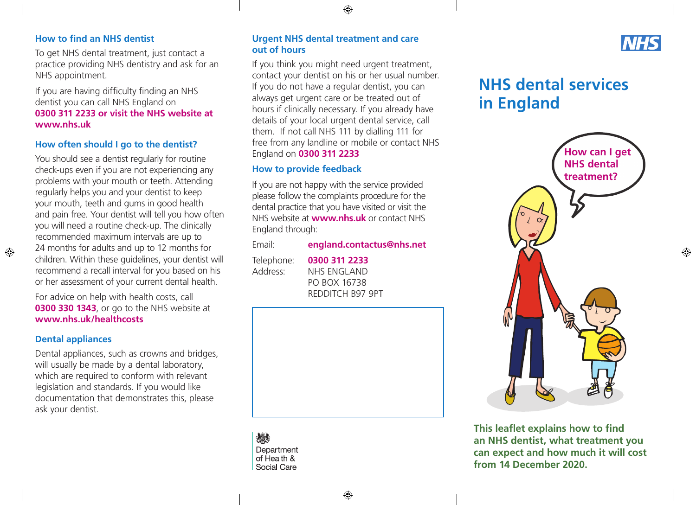#### $\bigoplus$

## **How to find an NHS dentist**

To get NHS dental treatment, just contact a practice providing NHS dentistry and ask for an NHS appointment.

If you are having difficulty finding an NHS dentist you can call NHS England on **0300 311 2233 or visit the NHS website at [www.nhs.uk](http://www.nhs.uk)**

### **How often should I go to the dentist?**

You should see a dentist regularly for routine check-ups even if you are not experiencing any problems with your mouth or teeth. Attending regularly helps you and your dentist to keep your mouth, teeth and gums in good health and pain free. Your dentist will tell you how often you will need a routine check-up. The clinically recommended maximum intervals are up to 24 months for adults and up to 12 months for children. Within these guidelines, your dentist will recommend a recall interval for you based on his or her assessment of your current dental health.

For advice on help with health costs, call **0300 330 1343**, or go to the NHS website at **[www.nhs.uk/healthcosts](http://www.nhs.uk/healthcosts)**

### **Dental appliances**

 $\bigoplus$ 

Dental appliances, such as crowns and bridges, will usually be made by a dental laboratory, which are required to conform with relevant legislation and standards. If you would like documentation that demonstrates this, please ask your dentist.

### **Urgent NHS dental treatment and care out of hours**

If you think you might need urgent treatment, contact your dentist on his or her usual number. If you do not have a regular dentist, you can always get urgent care or be treated out of hours if clinically necessary. If you already have details of your local urgent dental service, call them. If not call NHS 111 by dialling 111 for free from any landline or mobile or contact NHS England on **0300 311 2233**

### **How to provide feedback**

If you are not happy with the service provided please follow the complaints procedure for the dental practice that you have visited or visit the NHS website at **[www.nhs.uk](http://www.nhs.uk)** or contact NHS England through:

| Email:     | england.contactus@nhs.net |
|------------|---------------------------|
| Telephone: | 0300 311 2233             |
| Address:   | <b>NHS ENGLAND</b>        |
|            | PO BOX 16738              |

REDDITCH B97 9PT



炒 Department of Health & Social Care

# **NHS**

 $\bigoplus$ 

# **NHS dental services in England**



**This leaflet explains how to find an NHS dentist, what treatment you can expect and how much it will cost from 14 December 2020.**

↔